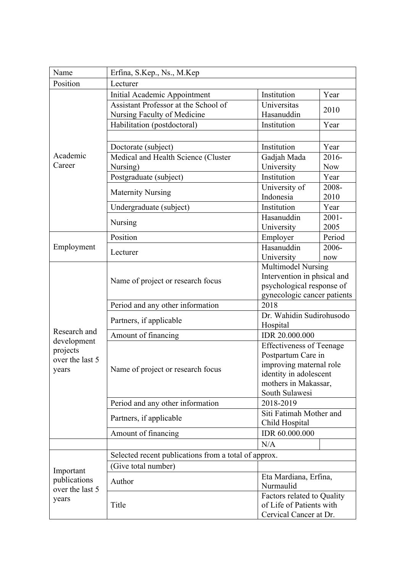| Name                                                  | Erfina, S.Kep., Ns., M.Kep                           |                                                   |                  |  |
|-------------------------------------------------------|------------------------------------------------------|---------------------------------------------------|------------------|--|
| Position                                              | Lecturer                                             |                                                   |                  |  |
| Academic<br>Career                                    | Initial Academic Appointment                         | Institution                                       | Year             |  |
|                                                       | Assistant Professor at the School of                 | Universitas                                       |                  |  |
|                                                       | Nursing Faculty of Medicine                          | Hasanuddin                                        | 2010             |  |
|                                                       | Habilitation (postdoctoral)                          | Institution                                       | Year             |  |
|                                                       |                                                      |                                                   |                  |  |
|                                                       | Doctorate (subject)                                  | Institution                                       | Year             |  |
|                                                       | Medical and Health Science (Cluster                  | Gadjah Mada                                       | 2016-            |  |
|                                                       | Nursing)                                             | University                                        | <b>Now</b>       |  |
|                                                       | Postgraduate (subject)                               | Institution                                       | Year             |  |
|                                                       | <b>Maternity Nursing</b>                             | University of                                     | 2008-            |  |
|                                                       |                                                      | Indonesia                                         | 2010             |  |
|                                                       | Undergraduate (subject)                              | Institution                                       | Year             |  |
|                                                       | Nursing                                              | Hasanuddin                                        | $2001 -$<br>2005 |  |
|                                                       | Position                                             | University<br>Employer                            | Period           |  |
| Employment                                            |                                                      | Hasanuddin                                        | 2006-            |  |
|                                                       | Lecturer                                             | University                                        | now              |  |
|                                                       | Name of project or research focus                    | <b>Multimodel Nursing</b>                         |                  |  |
|                                                       |                                                      | Intervention in phsical and                       |                  |  |
|                                                       |                                                      | psychological response of                         |                  |  |
|                                                       |                                                      | gynecologic cancer patients                       |                  |  |
|                                                       | Period and any other information                     | 2018                                              |                  |  |
|                                                       | Partners, if applicable                              | Dr. Wahidin Sudirohusodo                          |                  |  |
| Research and                                          |                                                      | Hospital                                          |                  |  |
| development                                           | Amount of financing                                  | IDR 20.000.000                                    |                  |  |
| projects                                              | Name of project or research focus                    | <b>Effectiveness of Teenage</b>                   |                  |  |
| over the last 5                                       |                                                      | Postpartum Care in                                |                  |  |
| years                                                 |                                                      | improving maternal role<br>identity in adolescent |                  |  |
|                                                       |                                                      | mothers in Makassar,                              |                  |  |
|                                                       |                                                      | South Sulawesi                                    |                  |  |
|                                                       | Period and any other information                     | 2018-2019                                         |                  |  |
|                                                       | Partners, if applicable                              | Siti Fatimah Mother and                           |                  |  |
|                                                       |                                                      | Child Hospital                                    |                  |  |
|                                                       | Amount of financing                                  | IDR 60.000.000                                    |                  |  |
|                                                       |                                                      | N/A                                               |                  |  |
|                                                       | Selected recent publications from a total of approx. |                                                   |                  |  |
| Important<br>publications<br>over the last 5<br>years | (Give total number)                                  |                                                   |                  |  |
|                                                       | Author                                               | Eta Mardiana, Erfina,                             |                  |  |
|                                                       |                                                      | Nurmaulid                                         |                  |  |
|                                                       | Title                                                | Factors related to Quality                        |                  |  |
|                                                       |                                                      | of Life of Patients with                          |                  |  |
|                                                       |                                                      | Cervical Cancer at Dr.                            |                  |  |